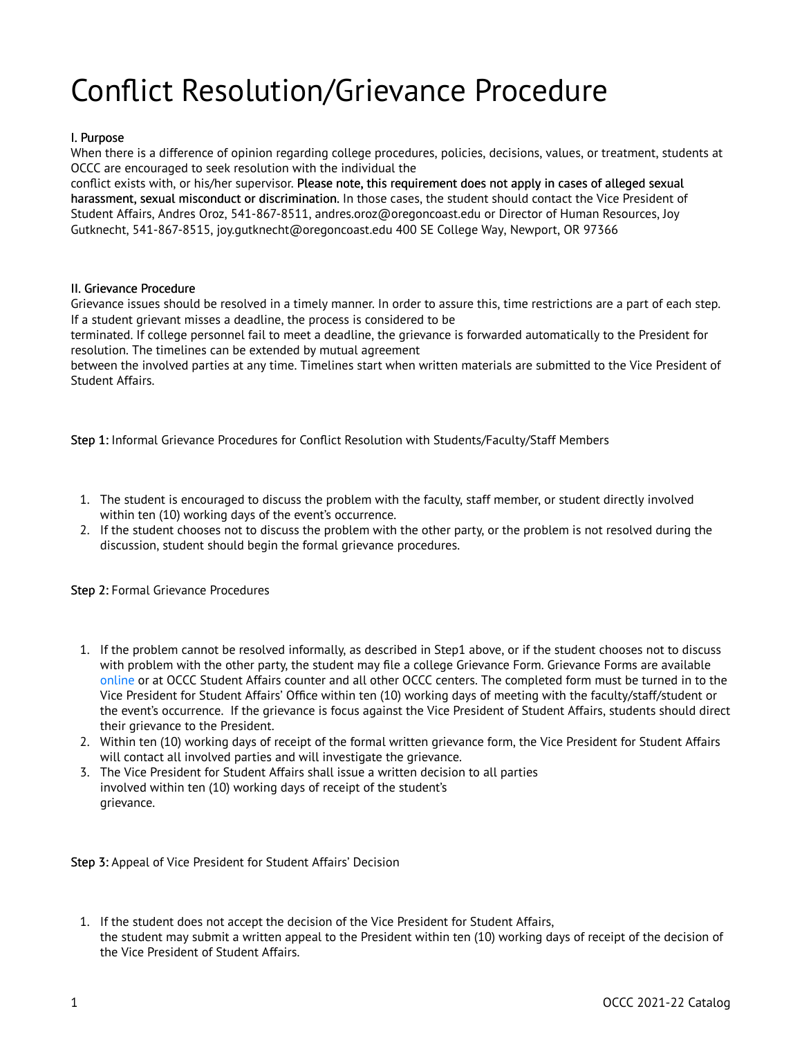## Conflict Resolution/Grievance Procedure

## I. Purpose

When there is a difference of opinion regarding college procedures, policies, decisions, values, or treatment, students at OCCC are encouraged to seek resolution with the individual the

conflict exists with, or his/her supervisor. Please note, this requirement does not apply in cases of alleged sexual harassment, sexual misconduct or discrimination. In those cases, the student should contact the Vice President of Student Affairs, Andres Oroz, 541-867-8511, andres.oroz@oregoncoast.edu or Director of Human Resources, Joy Gutknecht, 541-867-8515, joy.gutknecht@oregoncoast.edu 400 SE College Way, Newport, OR 97366

## II. Grievance Procedure

Grievance issues should be resolved in a timely manner. In order to assure this, time restrictions are a part of each step. If a student grievant misses a deadline, the process is considered to be

terminated. If college personnel fail to meet a deadline, the grievance is forwarded automatically to the President for resolution. The timelines can be extended by mutual agreement

between the involved parties at any time. Timelines start when written materials are submitted to the Vice President of Student Affairs.

Step 1: Informal Grievance Procedures for Conflict Resolution with Students/Faculty/Staff Members

- 1. The student is encouraged to discuss the problem with the faculty, staff member, or student directly involved within ten (10) working days of the event's occurrence.
- 2. If the student chooses not to discuss the problem with the other party, or the problem is not resolved during the discussion, student should begin the formal grievance procedures.

Step 2: Formal Grievance Procedures

- 1. If the problem cannot be resolved informally, as described in Step1 above, or if the student chooses not to discuss with problem with the other party, the student may file a college Grievance Form. Grievance Forms are available [online](https://oregoncoast.edu/wp-content/uploads/2019/10/OCCC-GRIEVANCE-FORM.pdf) or at OCCC Student Affairs counter and all other OCCC centers. The completed form must be turned in to the Vice President for Student Affairs' Office within ten (10) working days of meeting with the faculty/staff/student or the event's occurrence. If the grievance is focus against the Vice President of Student Affairs, students should direct their grievance to the President.
- 2. Within ten (10) working days of receipt of the formal written grievance form, the Vice President for Student Affairs will contact all involved parties and will investigate the grievance.
- 3. The Vice President for Student Affairs shall issue a written decision to all parties involved within ten (10) working days of receipt of the student's grievance.

Step 3: Appeal of Vice President for Student Affairs' Decision

1. If the student does not accept the decision of the Vice President for Student Affairs, the student may submit a written appeal to the President within ten (10) working days of receipt of the decision of the Vice President of Student Affairs.